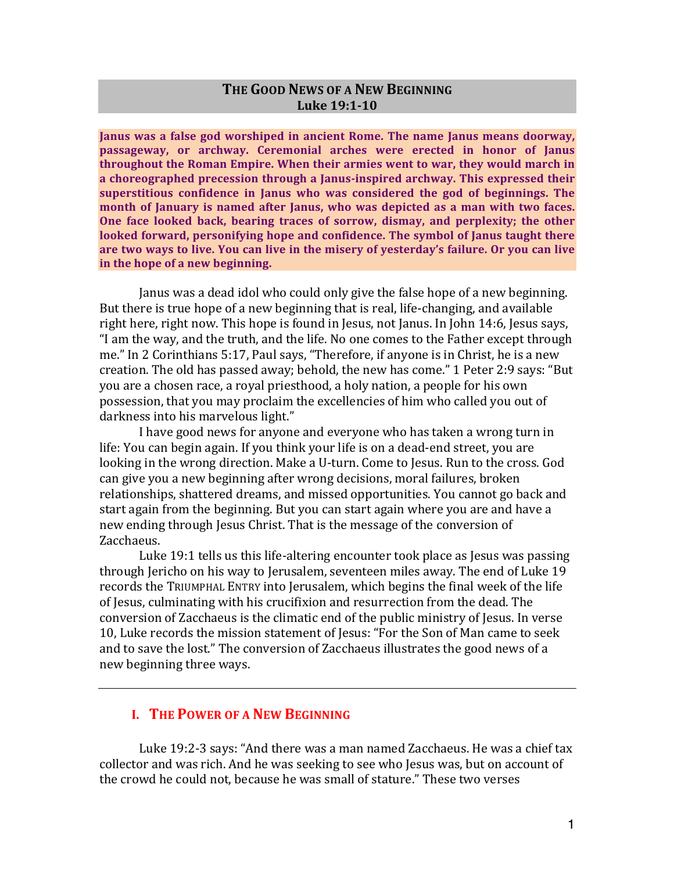# **THE GOOD NEWS OF A NEW BEGINNING Luke 19:1-10**

**Janus** was a false god worshiped in ancient Rome. The name Janus means doorway, passageway, or archway. Ceremonial arches were erected in honor of Janus **throughout the Roman Empire. When their armies went to war, they would march in** a choreographed precession through a Janus-inspired archway. This expressed their superstitious confidence in Janus who was considered the god of beginnings. The **month of January is named after Janus, who was depicted as a man with two faces. One face looked back, bearing traces of sorrow, dismay, and perplexity; the other looked forward, personifying hope and confidence. The symbol of Janus taught there** are two ways to live. You can live in the misery of yesterday's failure. Or you can live in the hope of a new beginning.

Janus was a dead idol who could only give the false hope of a new beginning. But there is true hope of a new beginning that is real, life-changing, and available right here, right now. This hope is found in Jesus, not Janus. In John 14:6, Jesus says, "I am the way, and the truth, and the life. No one comes to the Father except through me." In 2 Corinthians 5:17, Paul says, "Therefore, if anyone is in Christ, he is a new creation. The old has passed away; behold, the new has come." 1 Peter 2:9 says: "But you are a chosen race, a royal priesthood, a holy nation, a people for his own possession, that you may proclaim the excellencies of him who called you out of darkness into his marvelous light."

I have good news for anyone and everyone who has taken a wrong turn in life: You can begin again. If you think your life is on a dead-end street, you are looking in the wrong direction. Make a U-turn. Come to Jesus. Run to the cross. God can give you a new beginning after wrong decisions, moral failures, broken relationships, shattered dreams, and missed opportunities. You cannot go back and start again from the beginning. But you can start again where you are and have a new ending through Jesus Christ. That is the message of the conversion of Zacchaeus. 

Luke 19:1 tells us this life-altering encounter took place as Jesus was passing through lericho on his way to Jerusalem, seventeen miles away. The end of Luke 19 records the TRIUMPHAL ENTRY into Jerusalem, which begins the final week of the life of Jesus, culminating with his crucifixion and resurrection from the dead. The conversion of Zacchaeus is the climatic end of the public ministry of Jesus. In verse 10, Luke records the mission statement of Jesus: "For the Son of Man came to seek and to save the lost." The conversion of Zacchaeus illustrates the good news of a new beginning three ways.

## **I. THE POWER OF A NEW BEGINNING**

Luke 19:2-3 says: "And there was a man named Zacchaeus. He was a chief tax collector and was rich. And he was seeking to see who Jesus was, but on account of the crowd he could not, because he was small of stature." These two verses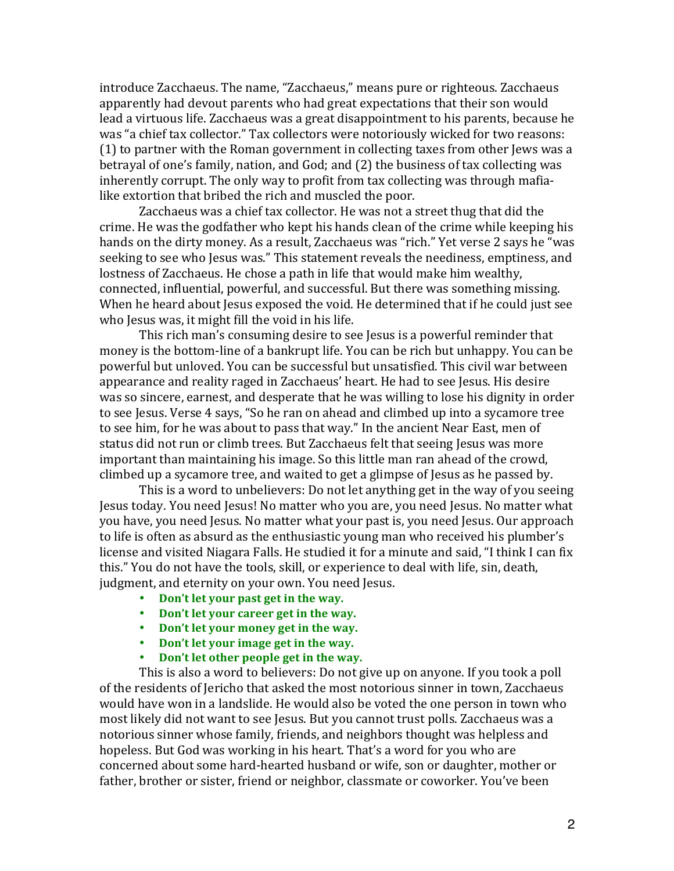introduce Zacchaeus. The name, "Zacchaeus," means pure or righteous. Zacchaeus apparently had devout parents who had great expectations that their son would lead a virtuous life. Zacchaeus was a great disappointment to his parents, because he was "a chief tax collector." Tax collectors were notoriously wicked for two reasons:  $(1)$  to partner with the Roman government in collecting taxes from other Jews was a betrayal of one's family, nation, and  $God$ ; and  $(2)$  the business of tax collecting was inherently corrupt. The only way to profit from tax collecting was through mafialike extortion that bribed the rich and muscled the poor.

Zacchaeus was a chief tax collector. He was not a street thug that did the crime. He was the godfather who kept his hands clean of the crime while keeping his hands on the dirty money. As a result, Zacchaeus was "rich." Yet verse 2 says he "was seeking to see who Jesus was." This statement reveals the neediness, emptiness, and lostness of Zacchaeus. He chose a path in life that would make him wealthy, connected, influential, powerful, and successful. But there was something missing. When he heard about Jesus exposed the void. He determined that if he could just see who Jesus was, it might fill the void in his life.

This rich man's consuming desire to see Jesus is a powerful reminder that money is the bottom-line of a bankrupt life. You can be rich but unhappy. You can be powerful but unloved. You can be successful but unsatisfied. This civil war between appearance and reality raged in Zacchaeus' heart. He had to see Jesus. His desire was so sincere, earnest, and desperate that he was willing to lose his dignity in order to see Jesus. Verse 4 says, "So he ran on ahead and climbed up into a sycamore tree to see him, for he was about to pass that way." In the ancient Near East, men of status did not run or climb trees. But Zacchaeus felt that seeing Jesus was more important than maintaining his image. So this little man ran ahead of the crowd, climbed up a sycamore tree, and waited to get a glimpse of Jesus as he passed by.

This is a word to unbelievers: Do not let anything get in the way of you seeing Jesus today. You need Jesus! No matter who you are, you need Jesus. No matter what you have, you need Jesus. No matter what your past is, you need Jesus. Our approach to life is often as absurd as the enthusiastic young man who received his plumber's license and visited Niagara Falls. He studied it for a minute and said, "I think I can fix this." You do not have the tools, skill, or experience to deal with life, sin, death, judgment, and eternity on your own. You need Jesus.

- Don't let your past get in the way.
- Don't let your career get in the way.
- Don't let your money get in the way.
- Don't let your image get in the way.<br>• Don't let other people get in the way.
- Don't let other people get in the way.

This is also a word to believers: Do not give up on anyone. If you took a poll of the residents of Jericho that asked the most notorious sinner in town, Zacchaeus would have won in a landslide. He would also be voted the one person in town who most likely did not want to see Jesus. But you cannot trust polls. Zacchaeus was a notorious sinner whose family, friends, and neighbors thought was helpless and hopeless. But God was working in his heart. That's a word for you who are concerned about some hard-hearted husband or wife, son or daughter, mother or father, brother or sister, friend or neighbor, classmate or coworker. You've been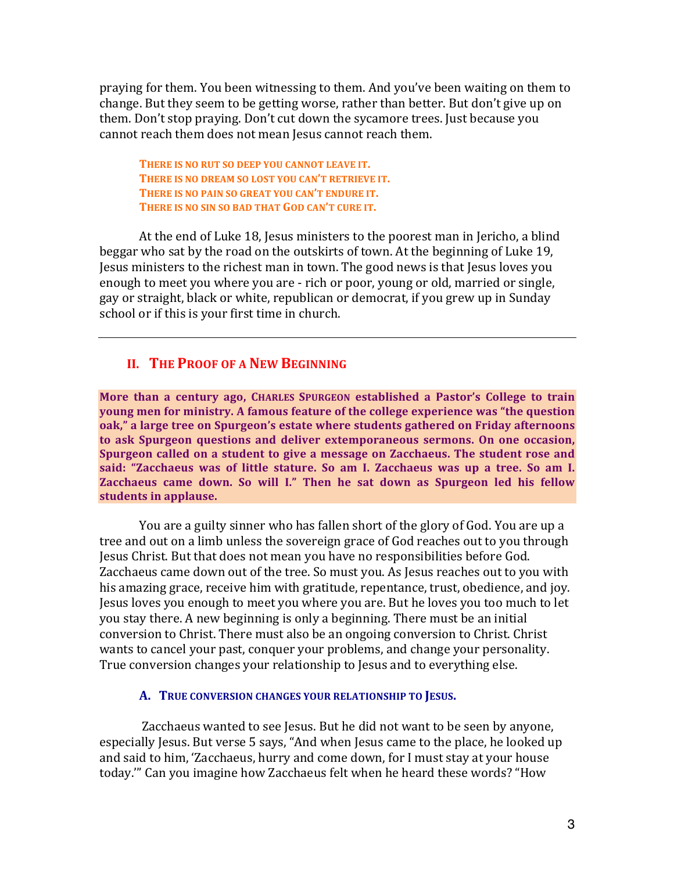praying for them. You been witnessing to them. And you've been waiting on them to change. But they seem to be getting worse, rather than better. But don't give up on them. Don't stop praying. Don't cut down the sycamore trees. Just because you cannot reach them does not mean Jesus cannot reach them.

THERE IS NO RUT SO DEEP YOU CANNOT LEAVE IT. **THERE IS NO DREAM SO LOST YOU CAN'T RETRIEVE IT.** THERE IS NO PAIN SO GREAT YOU CAN'T ENDURE IT. THERE IS NO SIN SO BAD THAT GOD CAN'T CURE IT.

At the end of Luke 18, Jesus ministers to the poorest man in Jericho, a blind beggar who sat by the road on the outskirts of town. At the beginning of Luke 19, Jesus ministers to the richest man in town. The good news is that Jesus loves you enough to meet you where you are - rich or poor, young or old, married or single, gay or straight, black or white, republican or democrat, if you grew up in Sunday school or if this is your first time in church.

# **II. THE PROOF OF A NEW BEGINNING**

**More than a century ago, CHARLES SPURGEON established a Pastor's College to train young men for ministry.** A famous feature of the college experience was "the question oak," a large tree on Spurgeon's estate where students gathered on Friday afternoons to ask Spurgeon questions and deliver extemporaneous sermons. On one occasion, Spurgeon called on a student to give a message on Zacchaeus. The student rose and **said: "Zacchaeus was of little stature. So am I. Zacchaeus was up a tree. So am I.**  Zacchaeus came down. So will I." Then he sat down as Spurgeon led his fellow students in applause.

You are a guilty sinner who has fallen short of the glory of God. You are up a tree and out on a limb unless the sovereign grace of God reaches out to you through Jesus Christ. But that does not mean you have no responsibilities before God. Zacchaeus came down out of the tree. So must you. As Jesus reaches out to you with his amazing grace, receive him with gratitude, repentance, trust, obedience, and joy. Jesus loves you enough to meet you where you are. But he loves you too much to let you stay there. A new beginning is only a beginning. There must be an initial conversion to Christ. There must also be an ongoing conversion to Christ. Christ wants to cancel your past, conquer your problems, and change your personality. True conversion changes your relationship to Jesus and to everything else.

## A. TRUE CONVERSION CHANGES YOUR RELATIONSHIP TO JESUS.

Zacchaeus wanted to see Jesus. But he did not want to be seen by anyone, especially Jesus. But verse 5 says, "And when Jesus came to the place, he looked up and said to him, 'Zacchaeus, hurry and come down, for I must stay at your house today." Can you imagine how Zacchaeus felt when he heard these words? "How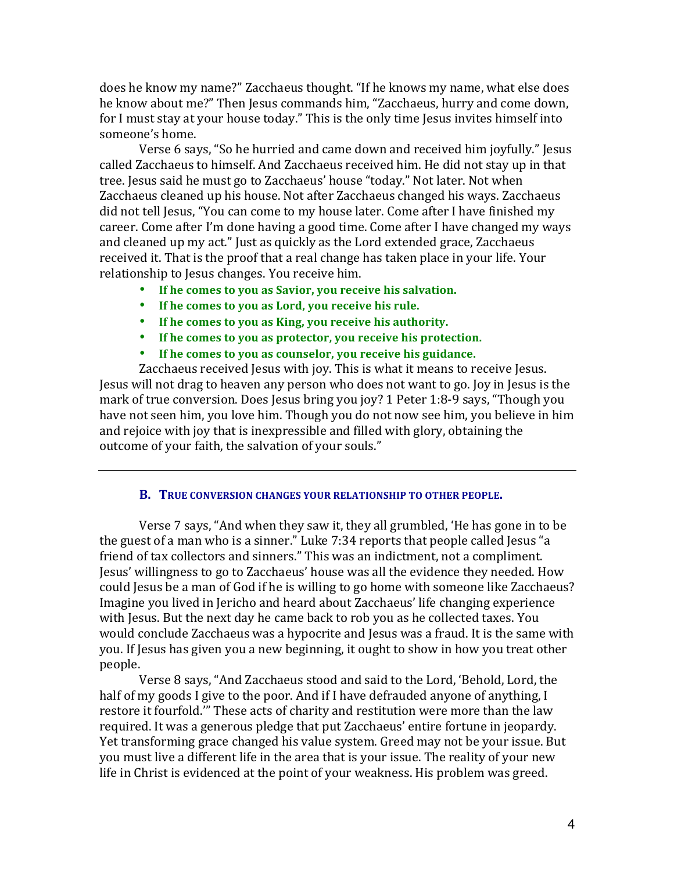does he know my name?" Zacchaeus thought. "If he knows my name, what else does he know about me?" Then Jesus commands him, "Zacchaeus, hurry and come down, for I must stay at your house today." This is the only time Jesus invites himself into someone's home. 

Verse 6 says, "So he hurried and came down and received him joyfully." Jesus called Zacchaeus to himself. And Zacchaeus received him. He did not stay up in that tree. Jesus said he must go to Zacchaeus' house "today." Not later. Not when Zacchaeus cleaned up his house. Not after Zacchaeus changed his ways. Zacchaeus did not tell Jesus, "You can come to my house later. Come after I have finished my career. Come after I'm done having a good time. Come after I have changed my ways and cleaned up my act." Just as quickly as the Lord extended grace, Zacchaeus received it. That is the proof that a real change has taken place in your life. Your relationship to Jesus changes. You receive him.

- If he comes to you as Savior, you receive his salvation.
- If he comes to you as Lord, you receive his rule.
- If he comes to you as King, you receive his authority.
- If he comes to you as protector, you receive his protection.
- If he comes to you as counselor, you receive his guidance.

Zacchaeus received Jesus with joy. This is what it means to receive Jesus. Jesus will not drag to heaven any person who does not want to go. Joy in Jesus is the mark of true conversion. Does Jesus bring you joy? 1 Peter 1:8-9 says, "Though you have not seen him, you love him. Though you do not now see him, you believe in him and rejoice with joy that is inexpressible and filled with glory, obtaining the outcome of your faith, the salvation of your souls."

#### **B.** TRUE CONVERSION CHANGES YOUR RELATIONSHIP TO OTHER PEOPLE.

Verse 7 says, "And when they saw it, they all grumbled, 'He has gone in to be the guest of a man who is a sinner." Luke 7:34 reports that people called Jesus "a friend of tax collectors and sinners." This was an indictment, not a compliment. Jesus' willingness to go to Zacchaeus' house was all the evidence they needed. How could Jesus be a man of God if he is willing to go home with someone like Zacchaeus? Imagine you lived in Jericho and heard about Zacchaeus' life changing experience with Jesus. But the next day he came back to rob you as he collected taxes. You would conclude Zacchaeus was a hypocrite and Jesus was a fraud. It is the same with you. If Jesus has given you a new beginning, it ought to show in how you treat other people. 

Verse 8 says, "And Zacchaeus stood and said to the Lord, 'Behold, Lord, the half of my goods I give to the poor. And if I have defrauded anyone of anything, I restore it fourfold." These acts of charity and restitution were more than the law required. It was a generous pledge that put Zacchaeus' entire fortune in jeopardy. Yet transforming grace changed his value system. Greed may not be your issue. But you must live a different life in the area that is your issue. The reality of your new life in Christ is evidenced at the point of your weakness. His problem was greed.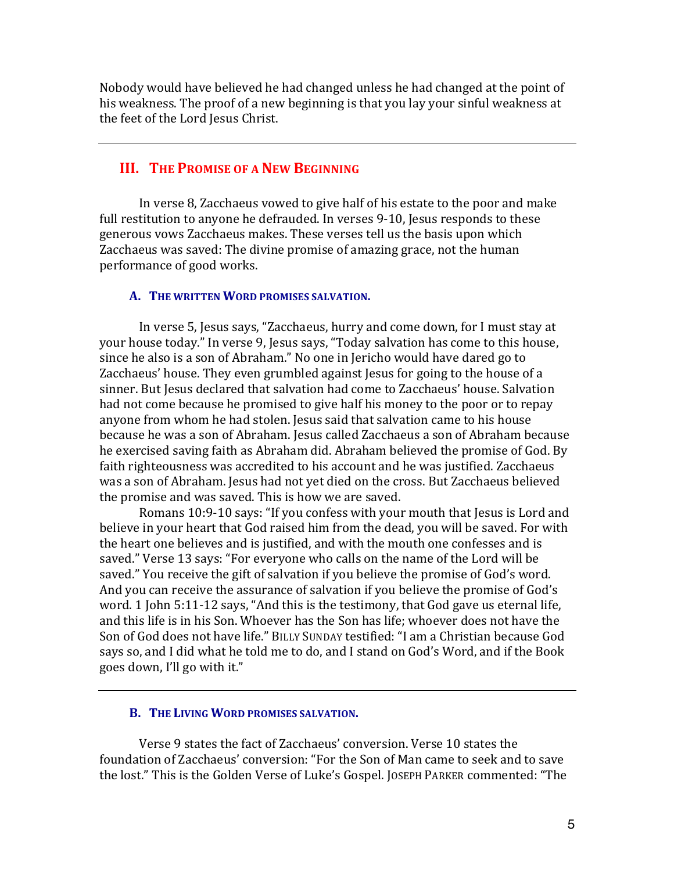Nobody would have believed he had changed unless he had changed at the point of his weakness. The proof of a new beginning is that you lay your sinful weakness at the feet of the Lord Jesus Christ.

## **III. THE PROMISE OF A NEW BEGINNING**

In verse 8, Zacchaeus vowed to give half of his estate to the poor and make full restitution to anyone he defrauded. In verses 9-10, Jesus responds to these generous vows Zacchaeus makes. These verses tell us the basis upon which Zacchaeus was saved: The divine promise of amazing grace, not the human performance of good works.

### A. THE WRITTEN WORD PROMISES SALVATION.

In verse 5, Jesus says, "Zacchaeus, hurry and come down, for I must stay at your house today." In verse 9, Jesus says, "Today salvation has come to this house, since he also is a son of Abraham." No one in Jericho would have dared go to Zacchaeus' house. They even grumbled against Jesus for going to the house of a sinner. But lesus declared that salvation had come to Zacchaeus' house. Salvation had not come because he promised to give half his money to the poor or to repay anyone from whom he had stolen. Jesus said that salvation came to his house because he was a son of Abraham. Jesus called Zacchaeus a son of Abraham because he exercised saving faith as Abraham did. Abraham believed the promise of God. By faith righteousness was accredited to his account and he was justified. Zacchaeus was a son of Abraham. Jesus had not yet died on the cross. But Zacchaeus believed the promise and was saved. This is how we are saved.

Romans 10:9-10 says: "If you confess with your mouth that Jesus is Lord and believe in your heart that God raised him from the dead, you will be saved. For with the heart one believes and is justified, and with the mouth one confesses and is saved." Verse 13 says: "For everyone who calls on the name of the Lord will be saved." You receive the gift of salvation if you believe the promise of God's word. And you can receive the assurance of salvation if you believe the promise of God's word. 1 John  $5:11-12$  says, "And this is the testimony, that God gave us eternal life, and this life is in his Son. Whoever has the Son has life; whoever does not have the Son of God does not have life." BILLY SUNDAY testified: "I am a Christian because God says so, and I did what he told me to do, and I stand on God's Word, and if the Book goes down, I'll go with it."

### **B.** THE LIVING WORD PROMISES SALVATION.

Verse 9 states the fact of Zacchaeus' conversion. Verse 10 states the foundation of Zacchaeus' conversion: "For the Son of Man came to seek and to save the lost." This is the Golden Verse of Luke's Gospel. JOSEPH PARKER commented: "The